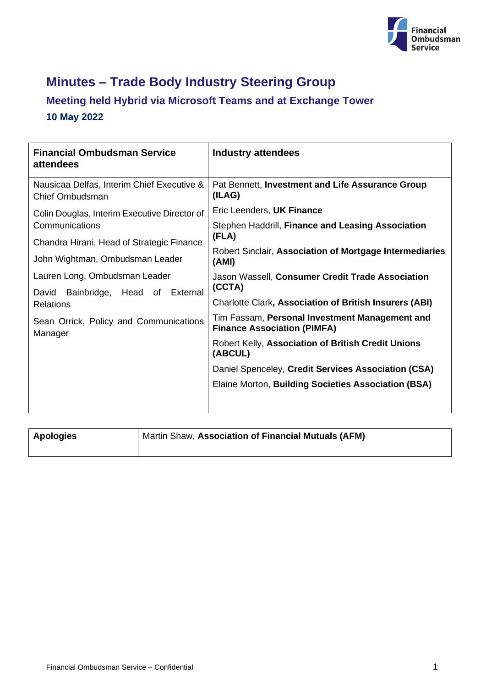

# **Minutes – Trade Body Industry Steering Group**

## **Meeting held Hybrid via Microsoft Teams and at Exchange Tower 10 May 2022**

| <b>Financial Ombudsman Service</b><br>attendees               | <b>Industry attendees</b>                                                            |
|---------------------------------------------------------------|--------------------------------------------------------------------------------------|
| Nausicaa Delfas, Interim Chief Executive &<br>Chief Ombudsman | Pat Bennett, Investment and Life Assurance Group<br>(ILAG)                           |
| Colin Douglas, Interim Executive Director of                  | Eric Leenders, UK Finance                                                            |
| Communications                                                | Stephen Haddrill, Finance and Leasing Association                                    |
| Chandra Hirani, Head of Strategic Finance                     | (FLA)                                                                                |
| John Wightman, Ombudsman Leader                               | Robert Sinclair, Association of Mortgage Intermediaries<br>(AMI)                     |
| Lauren Long, Ombudsman Leader                                 | Jason Wassell, Consumer Credit Trade Association                                     |
| Bainbridge, Head of External<br>David<br><b>Relations</b>     | (CCTA)                                                                               |
|                                                               | <b>Charlotte Clark, Association of British Insurers (ABI)</b>                        |
| Sean Orrick, Policy and Communications<br>Manager             | Tim Fassam, Personal Investment Management and<br><b>Finance Association (PIMFA)</b> |
|                                                               | Robert Kelly, Association of British Credit Unions<br>(ABCUL)                        |
|                                                               | Daniel Spenceley, Credit Services Association (CSA)                                  |
|                                                               | Elaine Morton, Building Societies Association (BSA)                                  |
|                                                               |                                                                                      |

| Apologies | Martin Shaw, Association of Financial Mutuals (AFM) |
|-----------|-----------------------------------------------------|
|           |                                                     |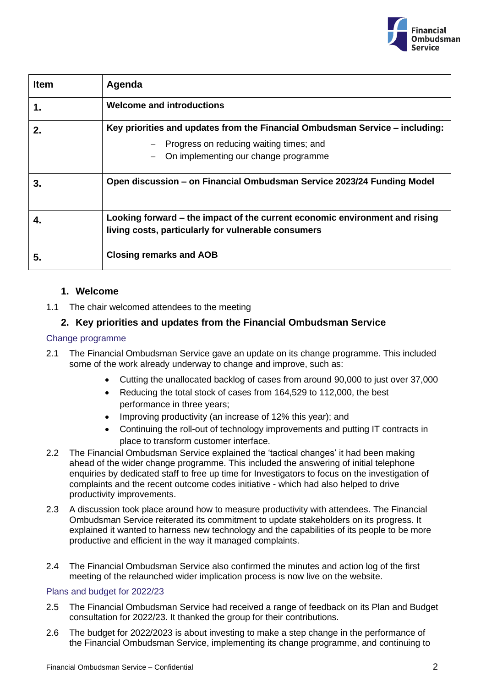

| <b>Item</b> | Agenda                                                                                                                                                          |
|-------------|-----------------------------------------------------------------------------------------------------------------------------------------------------------------|
| 1.          | <b>Welcome and introductions</b>                                                                                                                                |
| $2_{\cdot}$ | Key priorities and updates from the Financial Ombudsman Service – including:<br>Progress on reducing waiting times; and<br>On implementing our change programme |
| З.          | Open discussion - on Financial Ombudsman Service 2023/24 Funding Model                                                                                          |
| 4.          | Looking forward – the impact of the current economic environment and rising<br>living costs, particularly for vulnerable consumers                              |
| 5.          | <b>Closing remarks and AOB</b>                                                                                                                                  |

## **1. Welcome**

1.1 The chair welcomed attendees to the meeting

## **2. Key priorities and updates from the Financial Ombudsman Service**

#### Change programme

- 2.1 The Financial Ombudsman Service gave an update on its change programme. This included some of the work already underway to change and improve, such as:
	- Cutting the unallocated backlog of cases from around 90,000 to just over 37,000
	- Reducing the total stock of cases from 164,529 to 112,000, the best performance in three years;
	- Improving productivity (an increase of 12% this year); and
	- Continuing the roll-out of technology improvements and putting IT contracts in place to transform customer interface.
- 2.2 The Financial Ombudsman Service explained the 'tactical changes' it had been making ahead of the wider change programme. This included the answering of initial telephone enquiries by dedicated staff to free up time for Investigators to focus on the investigation of complaints and the recent outcome codes initiative - which had also helped to drive productivity improvements.
- 2.3 A discussion took place around how to measure productivity with attendees. The Financial Ombudsman Service reiterated its commitment to update stakeholders on its progress. It explained it wanted to harness new technology and the capabilities of its people to be more productive and efficient in the way it managed complaints.
- 2.4 The Financial Ombudsman Service also confirmed the minutes and action log of the first meeting of the relaunched wider implication process is now live on the website.

#### Plans and budget for 2022/23

- 2.5 The Financial Ombudsman Service had received a range of feedback on its Plan and Budget consultation for 2022/23. It thanked the group for their contributions.
- 2.6 The budget for 2022/2023 is about investing to make a step change in the performance of the Financial Ombudsman Service, implementing its change programme, and continuing to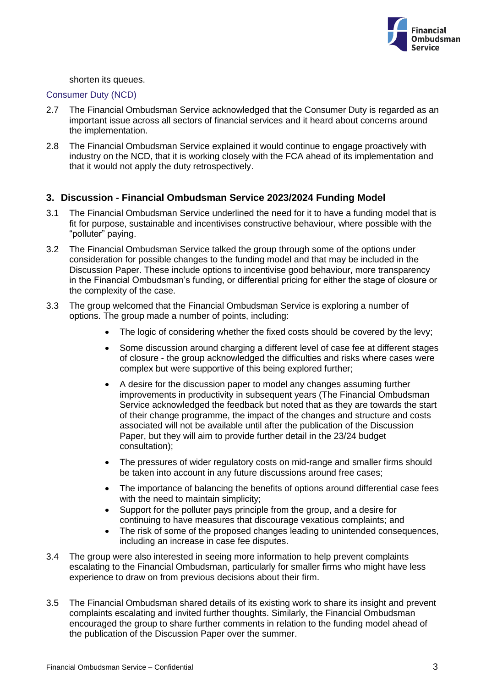

shorten its queues.

#### Consumer Duty (NCD)

- 2.7 The Financial Ombudsman Service acknowledged that the Consumer Duty is regarded as an important issue across all sectors of financial services and it heard about concerns around the implementation.
- 2.8 The Financial Ombudsman Service explained it would continue to engage proactively with industry on the NCD, that it is working closely with the FCA ahead of its implementation and that it would not apply the duty retrospectively.

#### **3. Discussion - Financial Ombudsman Service 2023/2024 Funding Model**

- 3.1 The Financial Ombudsman Service underlined the need for it to have a funding model that is fit for purpose, sustainable and incentivises constructive behaviour, where possible with the "polluter" paying.
- 3.2 The Financial Ombudsman Service talked the group through some of the options under consideration for possible changes to the funding model and that may be included in the Discussion Paper. These include options to incentivise good behaviour, more transparency in the Financial Ombudsman's funding, or differential pricing for either the stage of closure or the complexity of the case.
- 3.3 The group welcomed that the Financial Ombudsman Service is exploring a number of options. The group made a number of points, including:
	- The logic of considering whether the fixed costs should be covered by the levy;
	- Some discussion around charging a different level of case fee at different stages of closure - the group acknowledged the difficulties and risks where cases were complex but were supportive of this being explored further;
	- A desire for the discussion paper to model any changes assuming further improvements in productivity in subsequent years (The Financial Ombudsman Service acknowledged the feedback but noted that as they are towards the start of their change programme, the impact of the changes and structure and costs associated will not be available until after the publication of the Discussion Paper, but they will aim to provide further detail in the 23/24 budget consultation);
	- The pressures of wider regulatory costs on mid-range and smaller firms should be taken into account in any future discussions around free cases;
	- The importance of balancing the benefits of options around differential case fees with the need to maintain simplicity;
	- Support for the polluter pays principle from the group, and a desire for continuing to have measures that discourage vexatious complaints; and
	- The risk of some of the proposed changes leading to unintended consequences, including an increase in case fee disputes.
- 3.4 The group were also interested in seeing more information to help prevent complaints escalating to the Financial Ombudsman, particularly for smaller firms who might have less experience to draw on from previous decisions about their firm.
- 3.5 The Financial Ombudsman shared details of its existing work to share its insight and prevent complaints escalating and invited further thoughts. Similarly, the Financial Ombudsman encouraged the group to share further comments in relation to the funding model ahead of the publication of the Discussion Paper over the summer.